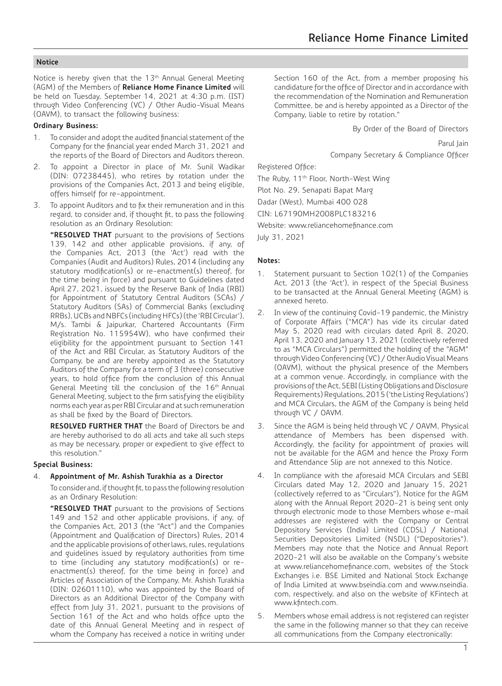Notice is hereby given that the 13<sup>th</sup> Annual General Meeting (AGM) of the Members of **Reliance Home Finance Limited** will be held on Tuesday, September 14, 2021 at 4:30 p.m. (IST) through Video Conferencing (VC) / Other Audio-Visual Means (OAVM), to transact the following business:

#### **Ordinary Business:**

- 1. To consider and adopt the audited financial statement of the Company for the financial year ended March 31, 2021 and the reports of the Board of Directors and Auditors thereon.
- 2. To appoint a Director in place of Mr. Sunil Wadikar (DIN: 07238445), who retires by rotation under the provisions of the Companies Act, 2013 and being eligible, offers himself for re-appointment.
- 3. To appoint Auditors and to fix their remuneration and in this regard, to consider and, if thought fit, to pass the following resolution as an Ordinary Resolution:

**"RESOLVED THAT** pursuant to the provisions of Sections 139, 142 and other applicable provisions, if any, of the Companies Act, 2013 (the 'Act') read with the Companies (Audit and Auditors) Rules, 2014 (including any statutory modification(s) or re-enactment(s) thereof, for the time being in force) and pursuant to Guidelines dated April 27, 2021, issued by the Reserve Bank of India (RBI) for Appointment of Statutory Central Auditors (SCAs) / Statutory Auditors (SAs) of Commercial Banks (excluding RRBs), UCBs and NBFCs (including HFCs) (the 'RBI Circular'), M/s. Tambi & Jaipurkar, Chartered Accountants (Firm Registration No. 115954W), who have confirmed their eligibility for the appointment pursuant to Section 141 of the Act and RBI Circular, as Statutory Auditors of the Company, be and are hereby appointed as the Statutory Auditors of the Company for a term of 3 (three) consecutive years, to hold office from the conclusion of this Annual General Meeting till the conclusion of the 16th Annual General Meeting, subject to the firm satisfying the eligibility norms each year as per RBI Circular and at such remuneration as shall be fixed by the Board of Directors.

**RESOLVED FURTHER THAT** the Board of Directors be and are hereby authorised to do all acts and take all such steps as may be necessary, proper or expedient to give effect to this resolution."

#### **Special Business:**

#### 4. **Appointment of Mr. Ashish Turakhia as a Director**

To consider and, if thought fit, to pass the following resolution as an Ordinary Resolution:

**"RESOLVED THAT** pursuant to the provisions of Sections 149 and 152 and other applicable provisions, if any, of the Companies Act, 2013 (the "Act") and the Companies (Appointment and Qualification of Directors) Rules, 2014 and the applicable provisions of other laws, rules, regulations and guidelines issued by regulatory authorities from time to time (including any statutory modification(s) or reenactment(s) thereof, for the time being in force) and Articles of Association of the Company, Mr. Ashish Turakhia (DIN: 02601110), who was appointed by the Board of Directors as an Additional Director of the Company with effect from July 31, 2021, pursuant to the provisions of Section 161 of the Act and who holds office upto the date of this Annual General Meeting and in respect of whom the Company has received a notice in writing under

Section 160 of the Act, from a member proposing his candidature for the office of Director and in accordance with the recommendation of the Nomination and Remuneration Committee, be and is hereby appointed as a Director of the Company, liable to retire by rotation."

By Order of the Board of Directors

Parul Jain

Company Secretary & Compliance Officer

Registered Office:

The Ruby, 11<sup>th</sup> Floor, North-West Wing

Plot No. 29, Senapati Bapat Marg

Dadar (West), Mumbai 400 028

CIN: L67190MH2008PLC183216

Website: www.reliancehomefinance.com

July 31, 2021

#### **Notes:**

- 1. Statement pursuant to Section 102(1) of the Companies Act, 2013 (the 'Act'), in respect of the Special Business to be transacted at the Annual General Meeting (AGM) is annexed hereto.
- 2. In view of the continuing Covid-19 pandemic, the Ministry of Corporate Affairs ("MCA") has vide its circular dated May 5, 2020 read with circulars dated April 8, 2020, April 13, 2020 and January 13, 2021 (collectively referred to as "MCA Circulars") permitted the holding of the "AGM" through Video Conferencing (VC) / Other Audio Visual Means (OAVM), without the physical presence of the Members at a common venue. Accordingly, in compliance with the provisions of the Act, SEBI (Listing Obligations and Disclosure Requirements) Regulations, 2015 ('the Listing Regulations') and MCA Circulars, the AGM of the Company is being held through VC / OAVM.
- 3. Since the AGM is being held through VC / OAVM, Physical attendance of Members has been dispensed with. Accordingly, the facility for appointment of proxies will not be available for the AGM and hence the Proxy Form and Attendance Slip are not annexed to this Notice.
- 4. In compliance with the aforesaid MCA Circulars and SEBI Circulars dated May 12, 2020 and January 15, 2021 (collectively referred to as "Circulars"), Notice for the AGM along with the Annual Report 2020-21 is being sent only through electronic mode to those Members whose e-mail addresses are registered with the Company or Central Depository Services (India) Limited (CDSL) / National Securities Depositories Limited (NSDL) ("Depositories"). Members may note that the Notice and Annual Report 2020-21 will also be available on the Company's website at www.reliancehomefinance.com, websites of the Stock Exchanges i.e. BSE Limited and National Stock Exchange of India Limited at www.bseindia.com and www.nseindia. com, respectively, and also on the website of KFintech at www.kfintech.com.
- 5. Members whose email address is not registered can register the same in the following manner so that they can receive all communications from the Company electronically: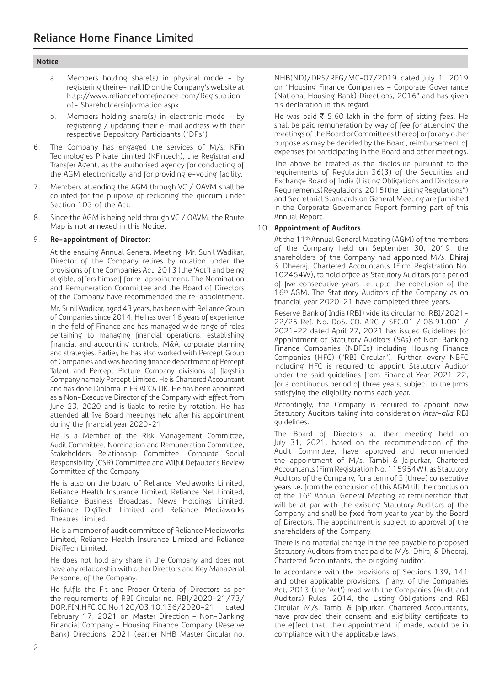- a. Members holding share(s) in physical mode by registering their e-mail ID on the Company's website at http://www.reliancehomefinance.com/Registrationof- Shareholdersinformation.aspx.
- b. Members holding share(s) in electronic mode by registering / updating their e-mail address with their respective Depository Participants ("DPs")
- 6. The Company has engaged the services of M/s. KFin Technologies Private Limited (KFintech), the Registrar and Transfer Agent, as the authorised agency for conducting of the AGM electronically and for providing e-voting facility.
- Members attending the AGM through VC / OAVM shall be counted for the purpose of reckoning the quorum under Section 103 of the Act.
- 8. Since the AGM is being held through VC / OAVM, the Route Map is not annexed in this Notice.

## 9. **Re-appointment of Director:**

At the ensuing Annual General Meeting, Mr. Sunil Wadikar, Director of the Company retires by rotation under the provisions of the Companies Act, 2013 (the 'Act') and being eligible, offers himself for re-appointment. The Nomination and Remuneration Committee and the Board of Directors of the Company have recommended the re-appointment.

Mr. Sunil Wadikar, aged 43 years, has been with Reliance Group of Companies since 2014. He has over 16 years of experience in the field of Finance and has managed wide range of roles pertaining to managing financial operations, establishing financial and accounting controls, M&A, corporate planning and strategies. Earlier, he has also worked with Percept Group of Companies and was heading finance department of Percept Talent and Percept Picture Company divisions of flagship Company namely Percept Limited. He is Chartered Accountant and has done Diploma in FR ACCA UK. He has been appointed as a Non-Executive Director of the Company with effect from June 23, 2020 and is liable to retire by rotation. He has attended all five Board meetings held after his appointment during the financial year 2020-21.

He is a Member of the Risk Management Committee, Audit Committee, Nomination and Remuneration Committee, Stakeholders Relationship Committee, Corporate Social Responsibility (CSR) Committee and Wilful Defaulter's Review Committee of the Company.

He is also on the board of Reliance Mediaworks Limited, Reliance Health Insurance Limited, Reliance Net Limited, Reliance Business Broadcast News Holdings Limited, Reliance DigiTech Limited and Reliance Mediaworks Theatres Limited.

He is a member of audit committee of Reliance Mediaworks Limited, Reliance Health Insurance Limited and Reliance DigiTech Limited.

He does not hold any share in the Company and does not have any relationship with other Directors and Key Managerial Personnel of the Company.

He fulfils the Fit and Proper Criteria of Directors as per the requirements of RBI Circular no. RBI/2020-21/73/ DOR.FIN.HFC.CC.No.120/03.10.136/2020-21 dated February 17, 2021 on Master Direction – Non-Banking Financial Company – Housing Finance Company (Reserve Bank) Directions, 2021 (earlier NHB Master Circular no.

NHB(ND)/DRS/REG/MC-07/2019 dated July 1, 2019 on "Housing Finance Companies – Corporate Governance (National Housing Bank) Directions, 2016" and has given his declaration in this regard.

He was paid  $\overline{\xi}$  5.60 lakh in the form of sitting fees. He shall be paid remuneration by way of fee for attending the meetings of the Board or Committees thereof or for any other purpose as may be decided by the Board, reimbursement of expenses for participating in the Board and other meetings.

The above be treated as the disclosure pursuant to the requirements of Regulation 36(3) of the Securities and Exchange Board of India (Listing Obligations and Disclosure Requirements) Regulations, 2015 (the "Listing Regulations") and Secretarial Standards on General Meeting are furnished in the Corporate Governance Report forming part of this Annual Report.

## 10. **Appointment of Auditors**

At the 11<sup>th</sup> Annual General Meeting (AGM) of the members of the Company held on September 30, 2019, the shareholders of the Company had appointed M/s. Dhiraj & Dheeraj, Chartered Accountants (Firm Registration No. 102454W), to hold office as Statutory Auditors for a period of five consecutive years i.e. upto the conclusion of the 16th AGM. The Statutory Auditors of the Company as on financial year 2020-21 have completed three years.

Reserve Bank of India (RBI) vide its circular no. RBI/2021- 22/25 Ref. No. DoS. CO. ARG / SEC.01 / 08.91.001 / 2021-22 dated April 27, 2021 has issued Guidelines for Appointment of Statutory Auditors (SAs) of Non-Banking Finance Companies (NBFCs) including Housing Finance Companies (HFC) ("RBI Circular"). Further, every NBFC including HFC is required to appoint Statutory Auditor under the said guidelines from Financial Year 2021-22, for a continuous period of three years, subject to the firms satisfying the eligibility norms each year.

Accordingly, the Company is required to appoint new Statutory Auditors taking into consideration *inter-alia* RBI guidelines.

The Board of Directors at their meeting held on July 31, 2021, based on the recommendation of the Audit Committee, have approved and recommended the appointment of M/s. Tambi & Jaipurkar, Chartered Accountants (Firm Registration No. 115954W), as Statutory Auditors of the Company, for a term of 3 (three) consecutive years i.e. from the conclusion of this AGM till the conclusion of the 16<sup>th</sup> Annual General Meeting at remuneration that will be at par with the existing Statutory Auditors of the Company and shall be fixed from year to year by the Board of Directors. The appointment is subject to approval of the shareholders of the Company.

There is no material change in the fee payable to proposed Statutory Auditors from that paid to M/s. Dhiraj & Dheeraj, Chartered Accountants, the outgoing auditor.

In accordance with the provisions of Sections 139, 141 and other applicable provisions, if any, of the Companies Act, 2013 (the 'Act') read with the Companies (Audit and Auditors) Rules, 2014, the Listing Obligations and RBI Circular, M/s. Tambi & Jaipurkar, Chartered Accountants, have provided their consent and eligibility certificate to the effect that, their appointment, if made, would be in compliance with the applicable laws.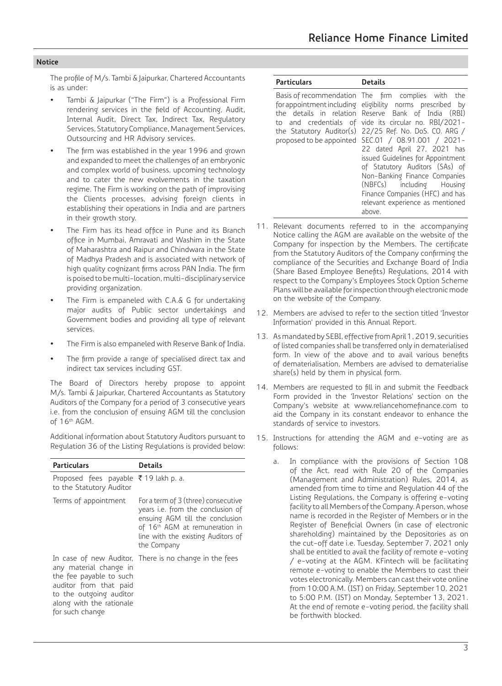The profile of M/s. Tambi & Jaipurkar, Chartered Accountants is as under:

- Tambi & Jaipurkar ("The Firm") is a Professional Firm rendering services in the field of Accounting, Audit, Internal Audit, Direct Tax, Indirect Tax, Regulatory Services, Statutory Compliance, Management Services, Outsourcing and HR Advisory services.
- The firm was established in the year 1996 and grown and expanded to meet the challenges of an embryonic and complex world of business, upcoming technology and to cater the new evolvements in the taxation regime. The Firm is working on the path of improvising the Clients processes, advising foreign clients in establishing their operations in India and are partners in their growth story.
- The Firm has its head office in Pune and its Branch office in Mumbai, Amravati and Washim in the State of Maharashtra and Raipur and Chindwara in the State of Madhya Pradesh and is associated with network of high quality cognizant firms across PAN India. The firm is poised to be multi-location, multi-disciplinary service providing organization.
- The Firm is empaneled with C.A.& G for undertaking major audits of Public sector undertakings and Government bodies and providing all type of relevant services.
- The Firm is also empaneled with Reserve Bank of India.
- The firm provide a range of specialised direct tax and indirect tax services including GST.

The Board of Directors hereby propose to appoint M/s. Tambi & Jaipurkar, Chartered Accountants as Statutory Auditors of the Company for a period of 3 consecutive years i.e. from the conclusion of ensuing AGM till the conclusion of 16th AGM.

Additional information about Statutory Auditors pursuant to Regulation 36 of the Listing Regulations is provided below:

| <b>Particulars</b>                                                                                                                                    | <b>Details</b>                                                                                                                                                                                                 |
|-------------------------------------------------------------------------------------------------------------------------------------------------------|----------------------------------------------------------------------------------------------------------------------------------------------------------------------------------------------------------------|
| Proposed fees payable ₹19 lakh p. a.<br>to the Statutory Auditor                                                                                      |                                                                                                                                                                                                                |
| Terms of appointment                                                                                                                                  | For a term of 3 (three) consecutive<br>years i.e. from the conclusion of<br>ensuing AGM till the conclusion<br>of 16 <sup>th</sup> AGM at remuneration in<br>line with the existing Auditors of<br>the Company |
| any material change in<br>the fee payable to such<br>auditor from that paid<br>to the outgoing auditor<br>along with the rationale<br>for such change | In case of new Auditor, There is no change in the fees                                                                                                                                                         |

| <b>Particulars</b> | <b>Details</b>                                                                                                                                                                                                                                                                                                                                                                                                                                                                                                                                                                                        |
|--------------------|-------------------------------------------------------------------------------------------------------------------------------------------------------------------------------------------------------------------------------------------------------------------------------------------------------------------------------------------------------------------------------------------------------------------------------------------------------------------------------------------------------------------------------------------------------------------------------------------------------|
|                    | Basis of recommendation The firm complies with the<br>for appointment including eligibility norms prescribed by<br>the details in relation Reserve Bank of India (RBI)<br>to and credentials of vide its circular no. RBI/2021-<br>the Statutory Auditor(s) 22/25 Ref. No. DoS. CO. ARG /<br>proposed to be appointed SEC.01 / 08.91.001 / 2021-<br>22 dated April 27, 2021 has<br>issued Guidelines for Appointment<br>of Statutory Auditors (SAs) of<br>Non-Banking Finance Companies<br>(NBFCs) including Housing<br>Finance Companies (HFC) and has<br>relevant experience as mentioned<br>above. |

- 11. Relevant documents referred to in the accompanying Notice calling the AGM are available on the website of the Company for inspection by the Members. The certificate from the Statutory Auditors of the Company confirming the compliance of the Securities and Exchange Board of India (Share Based Employee Benefits) Regulations, 2014 with respect to the Company's Employees Stock Option Scheme Plans will be available for inspection through electronic mode on the website of the Company.
- 12. Members are advised to refer to the section titled 'Investor Information' provided in this Annual Report.
- 13. As mandated by SEBI, effective from April 1, 2019, securities of listed companies shall be transferred only in dematerialised form. In view of the above and to avail various benefits of dematerialisation, Members are advised to dematerialise share(s) held by them in physical form.
- 14. Members are requested to fill in and submit the Feedback Form provided in the 'Investor Relations' section on the Company's website at www.reliancehomefinance.com to aid the Company in its constant endeavor to enhance the standards of service to investors.
- 15. Instructions for attending the AGM and e-voting are as follows:
	- a. In compliance with the provisions of Section 108 of the Act, read with Rule 20 of the Companies (Management and Administration) Rules, 2014, as amended from time to time and Regulation 44 of the Listing Regulations, the Company is offering e-voting facility to all Members of the Company. A person, whose name is recorded in the Register of Members or in the Register of Beneficial Owners (in case of electronic shareholding) maintained by the Depositories as on the cut-off date i.e. Tuesday, September 7, 2021 only shall be entitled to avail the facility of remote e-voting / e-voting at the AGM. KFintech will be facilitating remote e-voting to enable the Members to cast their votes electronically. Members can cast their vote online from 10:00 A.M. (IST) on Friday, September 10, 2021 to 5:00 P.M. (IST) on Monday, September 13, 2021. At the end of remote e-voting period, the facility shall be forthwith blocked.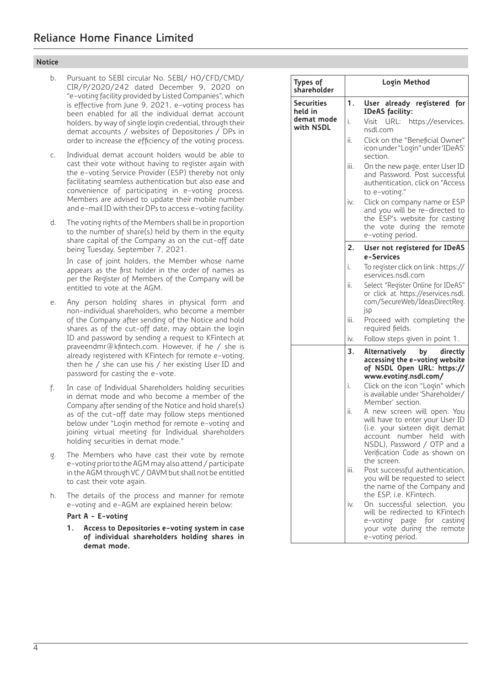- b. Pursuant to SEBI circular No. SEBI/ HO/CFD/CMD/ CIR/P/2020/242 dated December 9, 2020 on "e-voting facility provided by Listed Companies", which is effective from June 9, 2021, e-voting process has been enabled for all the individual demat account holders, by way of single login credential, through their demat accounts / websites of Depositories / DPs in order to increase the efficiency of the voting process.
- c. Individual demat account holders would be able to cast their vote without having to register again with the e-voting Service Provider (ESP) thereby not only facilitating seamless authentication but also ease and convenience of participating in e-voting process. Members are advised to update their mobile number and e-mail ID with their DPs to access e-voting facility.
- d. The voting rights of the Members shall be in proportion to the number of share(s) held by them in the equity share capital of the Company as on the cut-off date being Tuesday, September 7, 2021.

 In case of joint holders, the Member whose name appears as the first holder in the order of names as per the Register of Members of the Company will be entitled to vote at the AGM.

- e. Any person holding shares in physical form and non-individual shareholders, who become a member of the Company after sending of the Notice and hold shares as of the cut-off date, may obtain the login ID and password by sending a request to KFintech at praveendmr@kfintech.com. However, if he / she is already registered with KFintech for remote e-voting, then he / she can use his / her existing User ID and password for casting the e-vote.
- f. In case of Individual Shareholders holding securities in demat mode and who become a member of the Company after sending of the Notice and hold share(s) as of the cut-off date may follow steps mentioned below under "Login method for remote e-voting and joining virtual meeting for Individual shareholders holding securities in demat mode."
- g. The Members who have cast their vote by remote e-voting prior to the AGM may also attend / participate in the AGM through VC / OAVM but shall not be entitled to cast their vote again.
- h. The details of the process and manner for remote e-voting and e-AGM are explained herein below:

## **Part A - E-voting**

 **1. Access to Depositories e-voting system in case of individual shareholders holding shares in demat mode.**

| Types of<br>shareholder |      | Login Method                                                                                                                                                                                                      |
|-------------------------|------|-------------------------------------------------------------------------------------------------------------------------------------------------------------------------------------------------------------------|
| Securities<br>held in   | 1.   | User<br>already<br>registered<br>for<br><b>IDeAS</b> facility:                                                                                                                                                    |
| demat mode<br>with NSDL | i.   | Visit<br>URL:<br>https://eservices.<br>nsdl.com                                                                                                                                                                   |
|                         | ii.  | Click on the "Beneficial Owner"<br>icon under "Login" under 'IDeAS'<br>section.                                                                                                                                   |
|                         | iii. | On the new page, enter User ID<br>and Password. Post successful<br>authentication, click on "Access<br>to e-voting."                                                                                              |
|                         | iv.  | Click on company name or ESP<br>and you will be re-directed to<br>the ESP's website for casting<br>the vote during the<br>remote<br>e-voting period.                                                              |
|                         | 2.   | User not registered for IDeAS<br>e-Services                                                                                                                                                                       |
|                         | i.   | To register click on link : https://<br>eservices.nsdl.com                                                                                                                                                        |
|                         | ii.  | Select "Register Online for IDeAS"<br>or click at https://eservices.nsdl.<br>.com/SecureWeb/IdeasDirectReg<br>jsp                                                                                                 |
|                         | iii. | Proceed with completing the<br>required fields.                                                                                                                                                                   |
|                         | iv.  | Follow steps given in point 1.                                                                                                                                                                                    |
|                         | 3.   | Alternatively<br>directly<br>by<br>accessing the e-voting website<br>of NSDL Open URL: https://<br>www.evoting.nsdl.com/                                                                                          |
|                         | i.   | Click on the icon "Login" which<br>is available under 'Shareholder/<br>Member' section.                                                                                                                           |
|                         | ii.  | A new screen will open. You<br>will have to enter your User ID<br>(i.e. your sixteen digit demat<br>number held<br>with<br>account<br>NSDL), Password / OTP and a<br>Verification Code as shown on<br>the screen. |
|                         | iii. | Post successful authentication,<br>you will be requested to select<br>the name of the Company and<br>the ESP, i.e. KFintech.                                                                                      |
|                         | iv.  | successful selection, you<br>On.<br>will be redirected to KFintech<br>e-voting page<br>for<br>casting<br>your vote during the<br>remote<br>e-voting period.                                                       |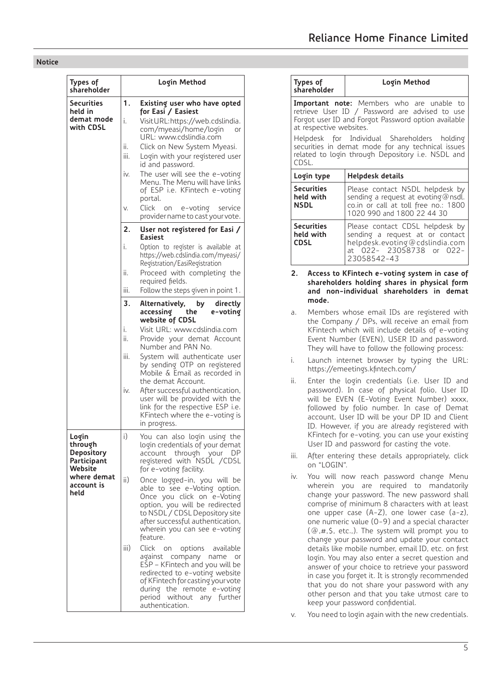| Types of<br>shareholder                                  |                                | Login Method                                                                                                                                                                                                                                                             |
|----------------------------------------------------------|--------------------------------|--------------------------------------------------------------------------------------------------------------------------------------------------------------------------------------------------------------------------------------------------------------------------|
| Securities<br>held in<br>demat mode<br>with CDSL         | 1.<br>i.<br>ii.<br>iii.<br>iv. | Existing user who have opted<br>for Easi / Easiest<br>Visit URL: https://web.cdslindia.<br>com/myeasi/home/login<br>or<br>URL: www.cdslindia.com<br>Click on New System Myeasi.<br>Login with your registered user<br>id and password.<br>The user will see the e-voting |
|                                                          | V.                             | Menu. The Menu will have links<br>of ESP i.e. KFintech e-voting<br>portal.<br>Click<br>e-voting<br>service<br>0n<br>provider name to cast your vote.                                                                                                                     |
|                                                          | 2.                             | User not registered for Easi /                                                                                                                                                                                                                                           |
|                                                          | i.                             | Easiest<br>Option to register is available at<br>https://web.cdslindia.com/myeasi/<br>Registration/EasiRegistration                                                                                                                                                      |
|                                                          | ii.                            | Proceed with completing the<br>required fields.                                                                                                                                                                                                                          |
|                                                          | iii.                           | Follow the steps given in point 1.                                                                                                                                                                                                                                       |
|                                                          | 3.                             | Alternatively,<br>directly<br>by<br>accessing<br>the<br>e-voting<br>website of CDSL                                                                                                                                                                                      |
|                                                          | i.<br>ii.                      | Visit URL: www.cdslindia.com<br>Provide your demat Account<br>Number and PAN No.                                                                                                                                                                                         |
|                                                          | iii.                           | System will authenticate user<br>by sending OTP on registered<br>Mobile & Email as recorded in<br>the demat Account.                                                                                                                                                     |
|                                                          | iv.                            | After successful authentication,<br>user will be provided with the<br>link for the respective ESP i.e.<br>KFintech where the e-voting is<br>in progress.                                                                                                                 |
| Login<br>through<br>Depository<br>Participant<br>Website | i)                             | You can also login using the<br>login credentials of your demat<br>DΡ<br>account through your<br>registered with NSDL /CDSL<br>for e-voting facility.                                                                                                                    |
| where demat<br>account is<br>held                        | ii)                            | Once logged-in, you will be<br>able to see e-Voting option.<br>Once you click on e-Voting<br>option, you will be redirected<br>to NSDL / CDSL Depository site<br>after successful authentication,<br>wherein you can see e-voting<br>feature.                            |
|                                                          | iii)                           | Click<br>options<br>on<br>available<br>against company name or<br>EŠP - KFintech and you will be<br>redirected to e-voting website<br>of KFintech for casting your vote<br>during the remote e-voting<br>period<br>without any further<br>authentication.                |

|                         | Types of<br>shareholder        | Login Method                                                                                                                                                                                                                                                                                                                                                                                                                                                                                                                                                                                                                                                                                               |
|-------------------------|--------------------------------|------------------------------------------------------------------------------------------------------------------------------------------------------------------------------------------------------------------------------------------------------------------------------------------------------------------------------------------------------------------------------------------------------------------------------------------------------------------------------------------------------------------------------------------------------------------------------------------------------------------------------------------------------------------------------------------------------------|
|                         | at respective websites.        | <b>Important note:</b> Members who are unable to retrieve User ID / Password are advised to use<br>Forgot user ID and Forgot Password option available                                                                                                                                                                                                                                                                                                                                                                                                                                                                                                                                                     |
| CDSL.                   | Helpdesk<br>for                | Individual Shareholders<br>holding<br>securities in demat mode for any technical issues<br>related to login through Depository i.e. NSDL and                                                                                                                                                                                                                                                                                                                                                                                                                                                                                                                                                               |
|                         | Login type                     | Helpdesk details                                                                                                                                                                                                                                                                                                                                                                                                                                                                                                                                                                                                                                                                                           |
| <b>NSDL</b>             | <b>Securities</b><br>held with | Please contact NSDL helpdesk by<br>sending a request at evoting@nsdl.<br>co.in or call at toll free no.: 1800<br>1020 990 and 1800 22 44 30                                                                                                                                                                                                                                                                                                                                                                                                                                                                                                                                                                |
| <b>CDSL</b>             | Securities<br>held with        | Please contact CDSL helpdesk by<br>sending a request at or contact<br>helpdesk.evoting@cdslindia.com<br>at 022- 23058738 or 022-<br>23058542-43                                                                                                                                                                                                                                                                                                                                                                                                                                                                                                                                                            |
|                         |                                |                                                                                                                                                                                                                                                                                                                                                                                                                                                                                                                                                                                                                                                                                                            |
|                         |                                |                                                                                                                                                                                                                                                                                                                                                                                                                                                                                                                                                                                                                                                                                                            |
|                         |                                |                                                                                                                                                                                                                                                                                                                                                                                                                                                                                                                                                                                                                                                                                                            |
|                         |                                | https://emeetings.kfintech.com/                                                                                                                                                                                                                                                                                                                                                                                                                                                                                                                                                                                                                                                                            |
|                         |                                | User ID and password for casting the vote.                                                                                                                                                                                                                                                                                                                                                                                                                                                                                                                                                                                                                                                                 |
| a.<br>i.<br>ii.<br>iii. | on "LOGIN".                    | Members whose email IDs are registered with<br>the Company / DPs, will receive an email from<br>KFintech which will include details of e-voting<br>Event Number (EVEN), USER ID and password.<br>They will have to follow the following process:<br>Launch internet browser by typing the URL:<br>Enter the login credentials (i.e. User ID and<br>password). In case of physical folio, User ID<br>will be EVEN (E-Voting Event Number) xxxx,<br>followed by folio number. In case of Demat<br>account, User ID will be your DP ID and Client<br>ID. However, if you are already registered with<br>KFintech for e-voting, you can use your existing<br>After entering these details appropriately, click |

(@,#,\$, etc.,). The system will prompt you to change your password and update your contact details like mobile number, email ID, etc. on first login. You may also enter a secret question and answer of your choice to retrieve your password in case you forget it. It is strongly recommended that you do not share your password with any other person and that you take utmost care to keep your password confidential.

v. You need to login again with the new credentials.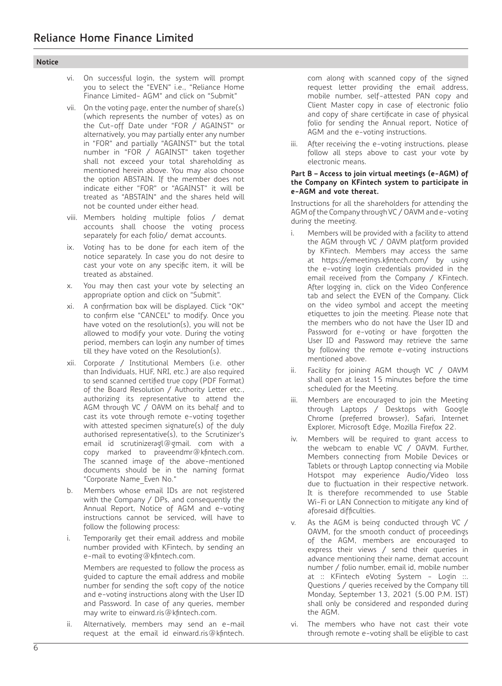| Oτι<br>T. |
|-----------|
|-----------|

- vi. On successful login, the system will prompt you to select the "EVEN" i.e., "Reliance Home Finance Limited- AGM" and click on "Submit"
- vii. On the voting page, enter the number of share(s) (which represents the number of votes) as on the Cut-off Date under "FOR / AGAINST" or alternatively, you may partially enter any number in "FOR" and partially "AGAINST" but the total number in "FOR / AGAINST" taken together shall not exceed your total shareholding as mentioned herein above. You may also choose the option ABSTAIN. If the member does not indicate either "FOR" or "AGAINST" it will be treated as "ABSTAIN" and the shares held will not be counted under either head.
- viii. Members holding multiple folios / demat accounts shall choose the voting process separately for each folio/ demat accounts.
- ix. Voting has to be done for each item of the notice separately. In case you do not desire to cast your vote on any specific item, it will be treated as abstained.
- x. You may then cast your vote by selecting an appropriate option and click on "Submit".
- xi. A confirmation box will be displayed. Click "OK" to confirm else "CANCEL" to modify. Once you have voted on the resolution(s), you will not be allowed to modify your vote. During the voting period, members can login any number of times till they have voted on the Resolution(s).
- xii. Corporate / Institutional Members (i.e. other than Individuals, HUF, NRI, etc.) are also required to send scanned certified true copy (PDF Format) of the Board Resolution / Authority Letter etc., authorizing its representative to attend the AGM through VC / OAVM on its behalf and to cast its vote through remote e-voting together with attested specimen signature(s) of the duly authorised representative(s), to the Scrutinizer's email id scrutinizeragl@gmail. com with a copy marked to praveendmr@kfintech.com. The scanned image of the above-mentioned documents should be in the naming format "Corporate Name\_Even No."
- b. Members whose email IDs are not registered with the Company / DPs, and consequently the Annual Report, Notice of AGM and e-voting instructions cannot be serviced, will have to follow the following process:
- i. Temporarily get their email address and mobile number provided with KFintech, by sending an e-mail to evoting@kfintech.com.

 Members are requested to follow the process as guided to capture the email address and mobile number for sending the soft copy of the notice and e-voting instructions along with the User ID and Password. In case of any queries, member may write to einward.ris@kfintech.com.

 ii. Alternatively, members may send an e-mail request at the email id einward.ris@kfintech.

com along with scanned copy of the signed request letter providing the email address, mobile number, self-attested PAN copy and Client Master copy in case of electronic folio and copy of share certificate in case of physical folio for sending the Annual report, Notice of AGM and the e-voting instructions.

After receiving the e-voting instructions, please follow all steps above to cast your vote by electronic means.

#### **Part B – Access to join virtual meetings (e-AGM) of the Company on KFintech system to participate in e-AGM and vote thereat.**

 Instructions for all the shareholders for attending the AGM of the Company through VC / OAVM and e-voting during the meeting.

- i. Members will be provided with a facility to attend the AGM through VC / OAVM platform provided by KFintech. Members may access the same at https://emeetings.kfintech.com/ by using the e-voting login credentials provided in the email received from the Company / KFintech. After logging in, click on the Video Conference tab and select the EVEN of the Company. Click on the video symbol and accept the meeting etiquettes to join the meeting. Please note that the members who do not have the User ID and Password for e-voting or have forgotten the User ID and Password may retrieve the same by following the remote e-voting instructions mentioned above.
- ii. Facility for joining AGM though VC / OAVM shall open at least 15 minutes before the time scheduled for the Meeting.
- iii. Members are encouraged to join the Meeting through Laptops / Desktops with Google Chrome (preferred browser), Safari, Internet Explorer, Microsoft Edge, Mozilla Firefox 22.
- iv. Members will be required to grant access to the webcam to enable VC / OAVM. Further, Members connecting from Mobile Devices or Tablets or through Laptop connecting via Mobile Hotspot may experience Audio/Video loss due to fluctuation in their respective network. It is therefore recommended to use Stable Wi-Fi or LAN Connection to mitigate any kind of aforesaid difficulties.
- v. As the AGM is being conducted through VC / OAVM, for the smooth conduct of proceedings of the AGM, members are encouraged to express their views / send their queries in advance mentioning their name, demat account number / folio number, email id, mobile number at :: KFintech eVoting System - Login ::. Questions / queries received by the Company till Monday, September 13, 2021 (5.00 P.M. IST) shall only be considered and responded during the AGM.
- vi. The members who have not cast their vote through remote e-voting shall be eligible to cast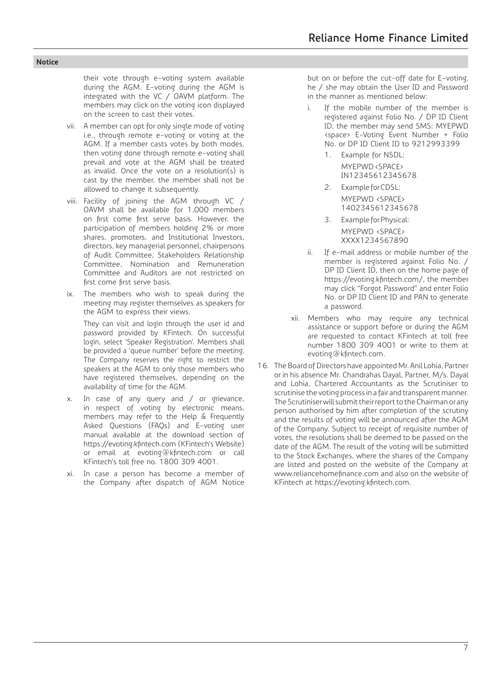their vote through e-voting system available during the AGM. E-voting during the AGM is integrated with the VC / OAVM platform. The members may click on the voting icon displayed on the screen to cast their votes.

- vii. A member can opt for only single mode of voting i.e., through remote e-voting or voting at the AGM. If a member casts votes by both modes, then voting done through remote e-voting shall prevail and vote at the AGM shall be treated as invalid. Once the vote on a resolution(s) is cast by the member, the member shall not be allowed to change it subsequently.
- viii. Facility of joining the AGM through VC / OAVM shall be available for 1,000 members on first come first serve basis. However, the participation of members holding 2% or more shares, promoters, and Institutional Investors, directors, key managerial personnel, chairpersons of Audit Committee, Stakeholders Relationship Committee, Nomination and Remuneration Committee and Auditors are not restricted on first come first serve basis.
- ix. The members who wish to speak during the meeting may register themselves as speakers for the AGM to express their views.

 They can visit and login through the user id and password provided by KFintech. On successful login, select 'Speaker Registration'. Members shall be provided a 'queue number' before the meeting. The Company reserves the right to restrict the speakers at the AGM to only those members who have registered themselves, depending on the availability of time for the AGM.

- x. In case of any query and / or grievance, in respect of voting by electronic means, members may refer to the Help & Frequently Asked Questions (FAQs) and E-voting user manual available at the download section of https://evoting.kfintech.com (KFintech's Website) or email at evoting@kfintech.com or call KFintech's toll free no. 1800 309 4001.
- xi. In case a person has become a member of the Company after dispatch of AGM Notice

but on or before the cut-off date for E-voting, he / she may obtain the User ID and Password in the manner as mentioned below:

- i. If the mobile number of the member is registered against Folio No. / DP ID Client ID, the member may send SMS: MYEPWD <space> E-Voting Event Number + Folio No. or DP ID Client ID to 9212993399
	- 1. Example for NSDL: MYEPWD <SPACE> IN12345612345678
	- 2. Example for CDSL: MYEPWD <SPACE> 1402345612345678
	- 3. Example for Physical: MYEPWD <SPACE> XXXX1234567890
- ii. If e-mail address or mobile number of the member is registered against Folio No. / DP ID Client ID, then on the home page of https://evoting.kfintech.com/, the member may click "Forgot Password" and enter Folio No. or DP ID Client ID and PAN to generate a password.
- xii. Members who may require any technical assistance or support before or during the AGM are requested to contact KFintech at toll free number 1800 309 4001 or write to them at evoting@kfintech.com.
- 16. The Board of Directors have appointed Mr. Anil Lohia, Partner or in his absence Mr. Chandrahas Dayal, Partner, M/s. Dayal and Lohia, Chartered Accountants as the Scrutiniser to scrutinise the voting process in a fair and transparent manner. The Scrutiniser will submit their report to the Chairman or any person authorised by him after completion of the scrutiny and the results of voting will be announced after the AGM of the Company. Subject to receipt of requisite number of votes, the resolutions shall be deemed to be passed on the date of the AGM. The result of the voting will be submitted to the Stock Exchanges, where the shares of the Company are listed and posted on the website of the Company at www.reliancehomefinance.com and also on the website of KFintech at https://evoting.kfintech.com.